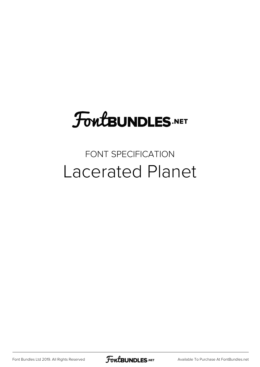## **FoutBUNDLES.NET**

### FONT SPECIFICATION Lacerated Planet

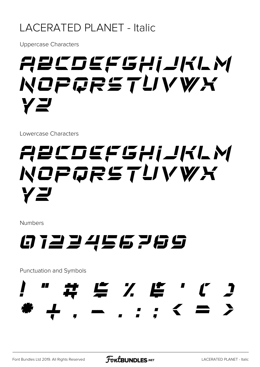#### **LACERATED PLANET - Italic**

**Uppercase Characters** 

## ABCDEFGHIJKLM NOPQRSTUVWX YZ

Lowercase Characters

## ABCDEFGHIJKLM NOPGRSTUVWX YZ

**Numbers** 

### 0723456769

Punctuation and Symbols

- . . . < =  $\sum$  $\frac{1}{2}$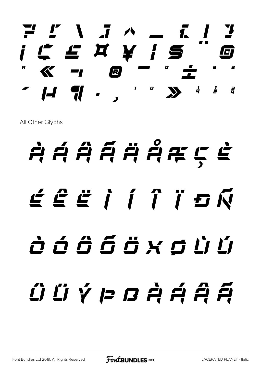*? [ \ ] ^ \_ { | } ¡ ¢ £ ¤ ¥ ¦ § ¨ © ª « ¬ ® ¯ ° ± ² ³ ´ µ ¶ · ¸ ¹ º » ¼ ½ ¾*

All Other Glyphs

# *À Á Â Ã Ä Å Æ Ç È É Ê Ë Ì Í Î Ï Ð Ñ Ò Ó Ô Õ Ö × Ø Ù Ú Û Ü Ý Þ ß à á â ã*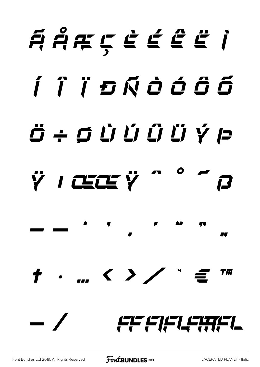## AAAÇEÉET í î ï s Ñ ò ó ô 6  $\ddot{\mathbf{C}}$   $\div$   $\dot{\mathbf{C}}$   $\dot{\mathbf{C}}$   $\dot{\mathbf{C}}$   $\dot{\mathbf{C}}$   $\dot{\mathbf{C}}$   $\dot{\mathbf{C}}$   $\dot{\mathbf{C}}$ ŸICEKŸ 口  $\overline{a}$ 47  $+$  . ...  $\langle$   $\rangle$  $T\pi$ FF FIFILEATEL

**FoutBUNDLES.NET**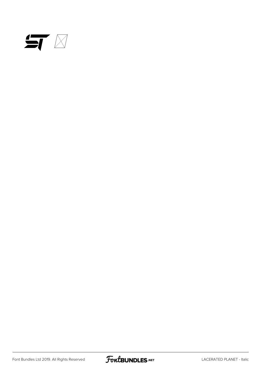

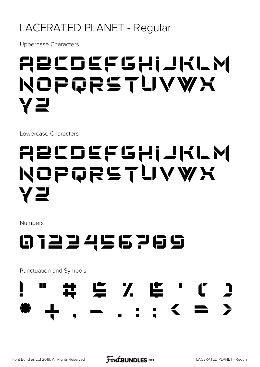#### LACERATED PLANET - Regular

**Uppercase Characters** 

## ABCDEFGHIJKLM NOPQRSTUVWX YZ

Lowercase Characters

## ABCDEFGHIJKLM NOPQRSTUVWX YZ

**Numbers** 



Punctuation and Symbols

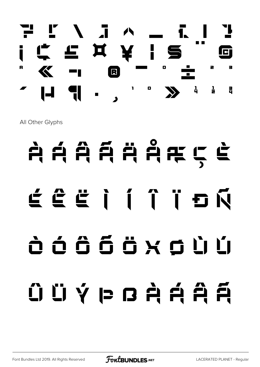

All Other Glyphs

# $A$  Á Â Ã Ä Å Å K Ç È É Ê Ë Ì Í Î Ï Ð Ñ Ò Ó Ô Õ Ö × Ø Ù Ú  $\hat{U}$  Ü Ý Þ ß À Á Á Â

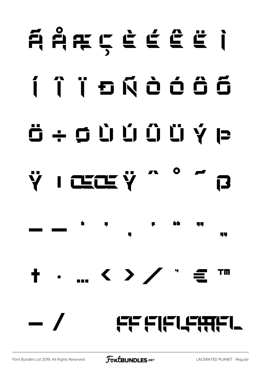## AARÇÈÉËÏ I Î l b Ñ à ó ô 6 Ö ÷ Ø Ù Ú Û Ü Ÿ Þ ŸICECEŸ QL. ... く 冫 / ゙ ∈  $\mathbf +$  . ТM FF FIFLEETL  $\overline{\phantom{a}}$

**FoutBUNDLES.NET**